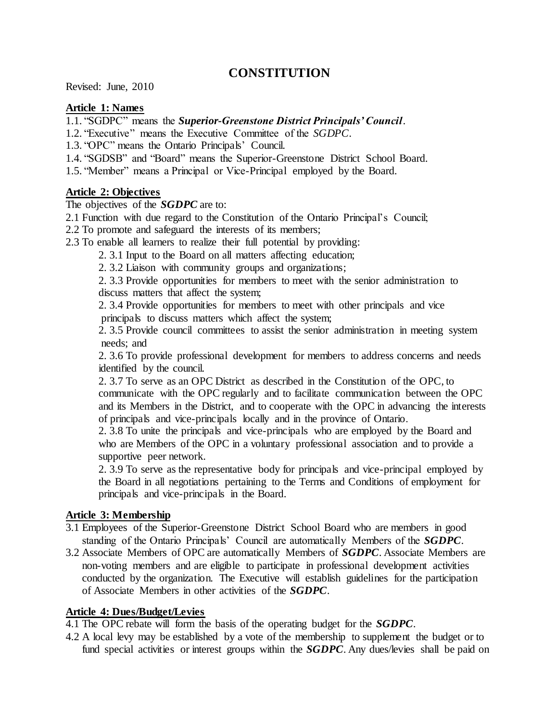# **CONSTITUTION**

Revised: June, 2010

#### **Article 1: Names**

1.1. "SGDPC" means the *Superior-Greenstone District Principals' Council*.

- 1.2. "Executive" means the Executive Committee of the *SGDPC*.
- 1.3. "OPC" means the Ontario Principals' Council.
- 1.4. "SGDSB" and "Board" means the Superior-Greenstone District School Board.
- 1.5. "Member" means a Principal or Vice-Principal employed by the Board.

#### **Article 2: Objectives**

The objectives of the *SGDPC* are to:

- 2.1 Function with due regard to the Constitution of the Ontario Principal's Council;
- 2.2 To promote and safeguard the interests of its members;
- 2.3 To enable all learners to realize their full potential by providing:
	- 2. 3.1 Input to the Board on all matters affecting education;
	- 2. 3.2 Liaison with community groups and organizations;

2. 3.3 Provide opportunities for members to meet with the senior administration to discuss matters that affect the system;

2. 3.4 Provide opportunities for members to meet with other principals and vice principals to discuss matters which affect the system;

2. 3.5 Provide council committees to assist the senior administration in meeting system needs; and

2. 3.6 To provide professional development for members to address concerns and needs identified by the council.

2. 3.7 To serve as an OPC District as described in the Constitution of the OPC, to communicate with the OPC regularly and to facilitate communication between the OPC and its Members in the District, and to cooperate with the OPC in advancing the interests of principals and vice-principals locally and in the province of Ontario.

2. 3.8 To unite the principals and vice-principals who are employed by the Board and who are Members of the OPC in a voluntary professional association and to provide a supportive peer network.

2. 3.9 To serve as the representative body for principals and vice-principal employed by the Board in all negotiations pertaining to the Terms and Conditions of employment for principals and vice-principals in the Board.

### **Article 3: Membership**

- 3.1 Employees of the Superior-Greenstone District School Board who are members in good standing of the Ontario Principals' Council are automatically Members of the *SGDPC*.
- 3.2 Associate Members of OPC are automatically Members of *SGDPC*. Associate Members are non-voting members and are eligible to participate in professional development activities conducted by the organization. The Executive will establish guidelines for the participation of Associate Members in other activities of the *SGDPC*.

### **Article 4: Dues/Budget/Levies**

4.1 The OPC rebate will form the basis of the operating budget for the *SGDPC*.

4.2 A local levy may be established by a vote of the membership to supplement the budget or to fund special activities or interest groups within the *SGDPC*. Any dues/levies shall be paid on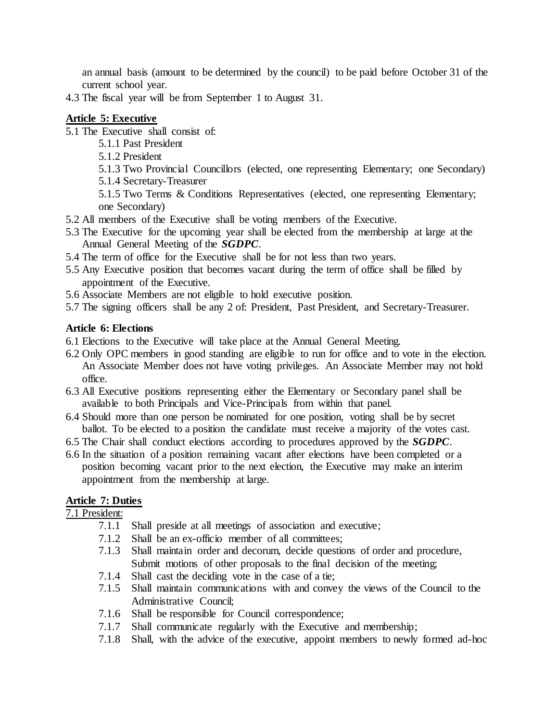an annual basis (amount to be determined by the council) to be paid before October 31 of the current school year.

4.3 The fiscal year will be from September 1 to August 31.

## **Article 5: Executive**

- 5.1 The Executive shall consist of:
	- 5.1.1 Past President
	- 5.1.2 President
	- 5.1.3 Two Provincial Councillors (elected, one representing Elementary; one Secondary)
	- 5.1.4 Secretary-Treasurer

5.1.5 Two Terms & Conditions Representatives (elected, one representing Elementary; one Secondary)

- 5.2 All members of the Executive shall be voting members of the Executive.
- 5.3 The Executive for the upcoming year shall be elected from the membership at large at the Annual General Meeting of the *SGDPC*.
- 5.4 The term of office for the Executive shall be for not less than two years.
- 5.5 Any Executive position that becomes vacant during the term of office shall be filled by appointment of the Executive.
- 5.6 Associate Members are not eligible to hold executive position.
- 5.7 The signing officers shall be any 2 of: President, Past President, and Secretary-Treasurer.

### **Article 6: Elections**

- 6.1 Elections to the Executive will take place at the Annual General Meeting.
- 6.2 Only OPC members in good standing are eligible to run for office and to vote in the election. An Associate Member does not have voting privileges. An Associate Member may not hold office.
- 6.3 All Executive positions representing either the Elementary or Secondary panel shall be available to both Principals and Vice-Principals from within that panel.
- 6.4 Should more than one person be nominated for one position, voting shall be by secret ballot. To be elected to a position the candidate must receive a majority of the votes cast.
- 6.5 The Chair shall conduct elections according to procedures approved by the *SGDPC*.
- 6.6 In the situation of a position remaining vacant after elections have been completed or a position becoming vacant prior to the next election, the Executive may make an interim appointment from the membership at large.

## **Article 7: Duties**

7.1 President:

- 7.1.1 Shall preside at all meetings of association and executive;
- 7.1.2 Shall be an ex-officio member of all committees;
- 7.1.3 Shall maintain order and decorum, decide questions of order and procedure, Submit motions of other proposals to the final decision of the meeting;
- 7.1.4 Shall cast the deciding vote in the case of a tie;
- 7.1.5 Shall maintain communications with and convey the views of the Council to the Administrative Council;
- 7.1.6 Shall be responsible for Council correspondence;
- 7.1.7 Shall communicate regularly with the Executive and membership;
- 7.1.8 Shall, with the advice of the executive, appoint members to newly formed ad-hoc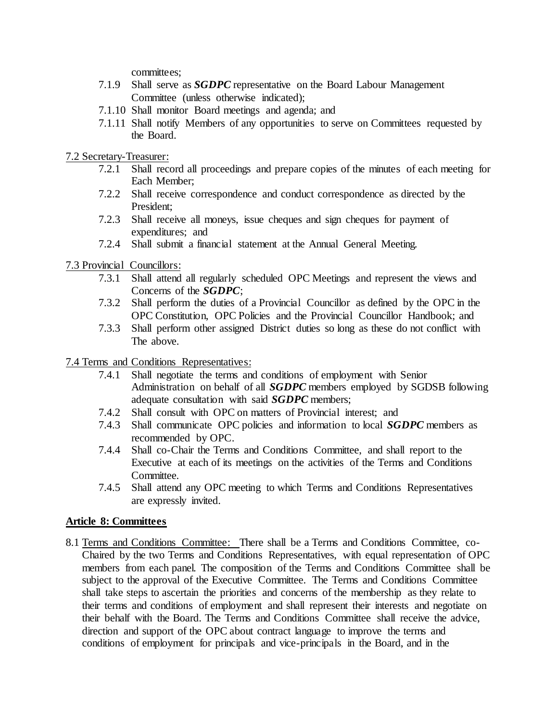committees:

- 7.1.9 Shall serve as *SGDPC* representative on the Board Labour Management Committee (unless otherwise indicated);
- 7.1.10 Shall monitor Board meetings and agenda; and
- 7.1.11 Shall notify Members of any opportunities to serve on Committees requested by the Board.
- 7.2 Secretary-Treasurer:
	- 7.2.1 Shall record all proceedings and prepare copies of the minutes of each meeting for Each Member;
	- 7.2.2 Shall receive correspondence and conduct correspondence as directed by the President;
	- 7.2.3 Shall receive all moneys, issue cheques and sign cheques for payment of expenditures; and
	- 7.2.4 Shall submit a financial statement at the Annual General Meeting.

7.3 Provincial Councillors:

- 7.3.1 Shall attend all regularly scheduled OPC Meetings and represent the views and Concerns of the *SGDPC*;
- 7.3.2 Shall perform the duties of a Provincial Councillor as defined by the OPC in the OPC Constitution, OPC Policies and the Provincial Councillor Handbook; and
- 7.3.3 Shall perform other assigned District duties so long as these do not conflict with The above.

7.4 Terms and Conditions Representatives:

- 7.4.1 Shall negotiate the terms and conditions of employment with Senior Administration on behalf of all *SGDPC* members employed by SGDSB following adequate consultation with said *SGDPC* members;
- 7.4.2 Shall consult with OPC on matters of Provincial interest; and
- 7.4.3 Shall communicate OPC policies and information to local *SGDPC* members as recommended by OPC.
- 7.4.4 Shall co-Chair the Terms and Conditions Committee, and shall report to the Executive at each of its meetings on the activities of the Terms and Conditions Committee.
- 7.4.5 Shall attend any OPC meeting to which Terms and Conditions Representatives are expressly invited.

### **Article 8: Committees**

8.1 Terms and Conditions Committee: There shall be a Terms and Conditions Committee, co- Chaired by the two Terms and Conditions Representatives, with equal representation of OPC members from each panel. The composition of the Terms and Conditions Committee shall be subject to the approval of the Executive Committee. The Terms and Conditions Committee shall take steps to ascertain the priorities and concerns of the membership as they relate to their terms and conditions of employment and shall represent their interests and negotiate on their behalf with the Board. The Terms and Conditions Committee shall receive the advice, direction and support of the OPC about contract language to improve the terms and conditions of employment for principals and vice-principals in the Board, and in the